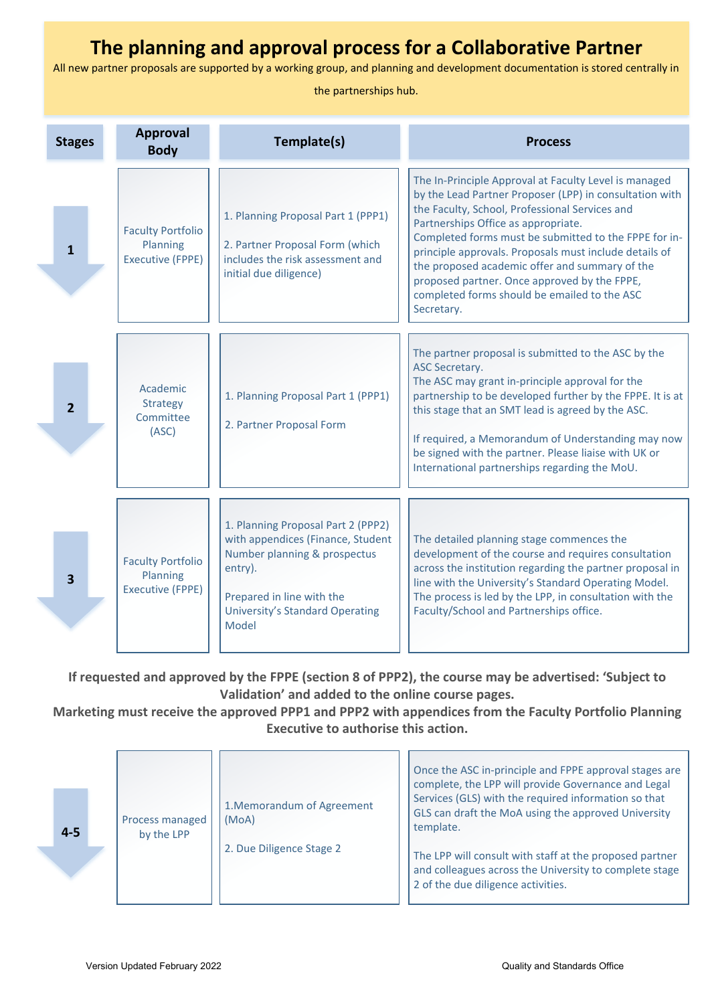## **The planning and approval process for a Collaborative Partner**

All new partner proposals are supported by a working group, and planning and development documentation is stored centrally in

the partnerships hub.

| <b>Stages</b>           | <b>Approval</b><br><b>Body</b>                                  | Template(s)                                                                                                                                                                                        | <b>Process</b>                                                                                                                                                                                                                                                                                                                                                                                                                                                                               |
|-------------------------|-----------------------------------------------------------------|----------------------------------------------------------------------------------------------------------------------------------------------------------------------------------------------------|----------------------------------------------------------------------------------------------------------------------------------------------------------------------------------------------------------------------------------------------------------------------------------------------------------------------------------------------------------------------------------------------------------------------------------------------------------------------------------------------|
| $\mathbf{1}$            | <b>Faculty Portfolio</b><br>Planning<br><b>Executive (FPPE)</b> | 1. Planning Proposal Part 1 (PPP1)<br>2. Partner Proposal Form (which<br>includes the risk assessment and<br>initial due diligence)                                                                | The In-Principle Approval at Faculty Level is managed<br>by the Lead Partner Proposer (LPP) in consultation with<br>the Faculty, School, Professional Services and<br>Partnerships Office as appropriate.<br>Completed forms must be submitted to the FPPE for in-<br>principle approvals. Proposals must include details of<br>the proposed academic offer and summary of the<br>proposed partner. Once approved by the FPPE,<br>completed forms should be emailed to the ASC<br>Secretary. |
| $\overline{2}$          | Academic<br>Strategy<br>Committee<br>(ASC)                      | 1. Planning Proposal Part 1 (PPP1)<br>2. Partner Proposal Form                                                                                                                                     | The partner proposal is submitted to the ASC by the<br>ASC Secretary.<br>The ASC may grant in-principle approval for the<br>partnership to be developed further by the FPPE. It is at<br>this stage that an SMT lead is agreed by the ASC.<br>If required, a Memorandum of Understanding may now<br>be signed with the partner. Please liaise with UK or<br>International partnerships regarding the MoU.                                                                                    |
| $\overline{\mathbf{3}}$ | <b>Faculty Portfolio</b><br>Planning<br><b>Executive (FPPE)</b> | 1. Planning Proposal Part 2 (PPP2)<br>with appendices (Finance, Student<br>Number planning & prospectus<br>entry).<br>Prepared in line with the<br><b>University's Standard Operating</b><br>Model | The detailed planning stage commences the<br>development of the course and requires consultation<br>across the institution regarding the partner proposal in<br>line with the University's Standard Operating Model.<br>The process is led by the LPP, in consultation with the<br>Faculty/School and Partnerships office.                                                                                                                                                                   |

**If requested and approved by the FPPE (section 8 of PPP2), the course may be advertised: 'Subject to Validation' and added to the online course pages.** 

**Marketing must receive the approved PPP1 and PPP2 with appendices from the Faculty Portfolio Planning Executive to authorise this action.**

| $4 - 5$ | Process managed<br>by the LPP | 1. Memorandum of Agreement<br>(MoA) | Once the ASC in-principle and FPPE approval stages are<br>complete, the LPP will provide Governance and Legal<br>Services (GLS) with the required information so that<br>GLS can draft the MoA using the approved University<br>template. |
|---------|-------------------------------|-------------------------------------|-------------------------------------------------------------------------------------------------------------------------------------------------------------------------------------------------------------------------------------------|
|         |                               | 2. Due Diligence Stage 2            | The LPP will consult with staff at the proposed partner<br>and colleagues across the University to complete stage<br>2 of the due diligence activities.                                                                                   |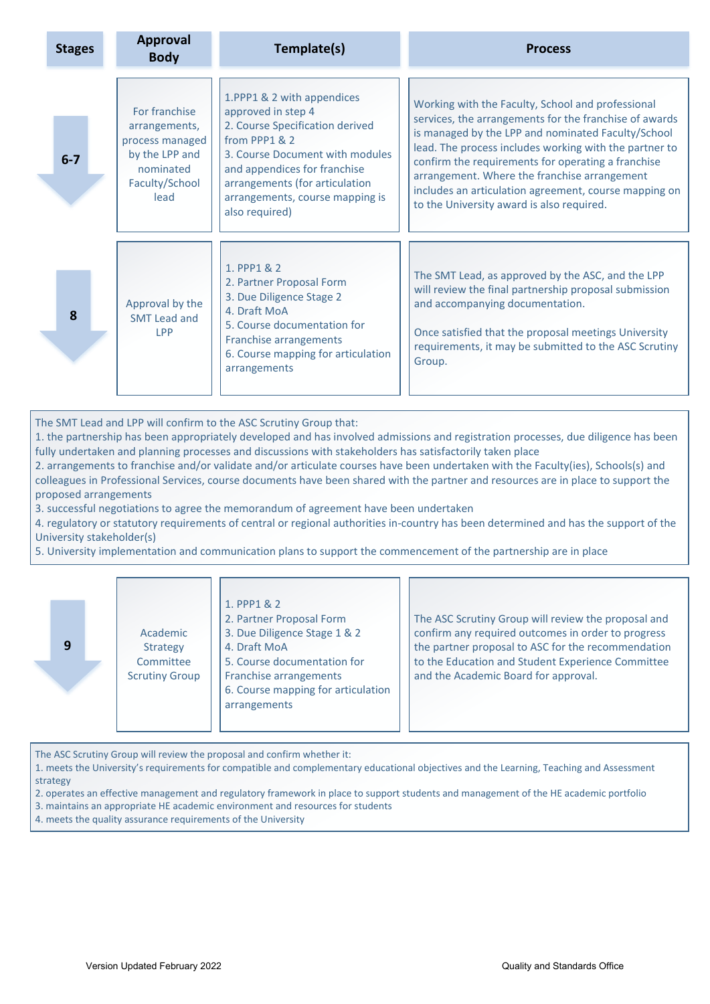| <b>Stages</b> | <b>Approval</b><br><b>Body</b>                                                                             | Template(s)                                                                                                                                                                                                                                                    | <b>Process</b>                                                                                                                                                                                                                                                                                                                                                                                                                          |
|---------------|------------------------------------------------------------------------------------------------------------|----------------------------------------------------------------------------------------------------------------------------------------------------------------------------------------------------------------------------------------------------------------|-----------------------------------------------------------------------------------------------------------------------------------------------------------------------------------------------------------------------------------------------------------------------------------------------------------------------------------------------------------------------------------------------------------------------------------------|
| $6 - 7$       | For franchise<br>arrangements,<br>process managed<br>by the LPP and<br>nominated<br>Faculty/School<br>lead | 1.PPP1 & 2 with appendices<br>approved in step 4<br>2. Course Specification derived<br>from PPP1 & 2<br>3. Course Document with modules<br>and appendices for franchise<br>arrangements (for articulation<br>arrangements, course mapping is<br>also required) | Working with the Faculty, School and professional<br>services, the arrangements for the franchise of awards<br>is managed by the LPP and nominated Faculty/School<br>lead. The process includes working with the partner to<br>confirm the requirements for operating a franchise<br>arrangement. Where the franchise arrangement<br>includes an articulation agreement, course mapping on<br>to the University award is also required. |
| 8             | Approval by the<br><b>SMT Lead and</b><br><b>LPP</b>                                                       | 1. PPP1 & 2<br>2. Partner Proposal Form<br>3. Due Diligence Stage 2<br>4. Draft MoA<br>5. Course documentation for<br>Franchise arrangements<br>6. Course mapping for articulation<br>arrangements                                                             | The SMT Lead, as approved by the ASC, and the LPP<br>will review the final partnership proposal submission<br>and accompanying documentation.<br>Once satisfied that the proposal meetings University<br>requirements, it may be submitted to the ASC Scrutiny<br>Group.                                                                                                                                                                |

The SMT Lead and LPP will confirm to the ASC Scrutiny Group that:

1. the partnership has been appropriately developed and has involved admissions and registration processes, due diligence has been fully undertaken and planning processes and discussions with stakeholders has satisfactorily taken place

2. arrangements to franchise and/or validate and/or articulate courses have been undertaken with the Faculty(ies), Schools(s) and colleagues in Professional Services, course documents have been shared with the partner and resources are in place to support the proposed arrangements

3. successful negotiations to agree the memorandum of agreement have been undertaken

4. regulatory or statutory requirements of central or regional authorities in‐country has been determined and has the support of the University stakeholder(s)

5. University implementation and communication plans to support the commencement of the partnership are in place

| 9 | Academic<br>Strategy<br>Committee<br><b>Scrutiny Group</b> | 1. PPP1 & 2<br>2. Partner Proposal Form<br>3. Due Diligence Stage 1 & 2<br>4. Draft MoA<br>5. Course documentation for<br>Franchise arrangements<br>6. Course mapping for articulation<br>arrangements | The ASC Scrutiny Group will review the proposal and<br>confirm any required outcomes in order to progress<br>the partner proposal to ASC for the recommendation<br>to the Education and Student Experience Committee<br>and the Academic Board for approval. |
|---|------------------------------------------------------------|--------------------------------------------------------------------------------------------------------------------------------------------------------------------------------------------------------|--------------------------------------------------------------------------------------------------------------------------------------------------------------------------------------------------------------------------------------------------------------|
|   |                                                            |                                                                                                                                                                                                        |                                                                                                                                                                                                                                                              |

The ASC Scrutiny Group will review the proposal and confirm whether it:

1. meets the University's requirements for compatible and complementary educational objectives and the Learning, Teaching and Assessment strategy

2. operates an effective management and regulatory framework in place to support students and management of the HE academic portfolio

3. maintains an appropriate HE academic environment and resources for students

4. meets the quality assurance requirements of the University